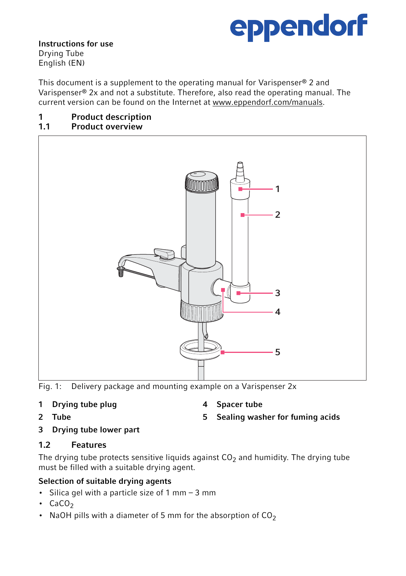# eppendorf

Instructions for use Drying Tube English (EN)

This document is a supplement to the operating manual for Varispenser® 2 and Varispenser® 2x and not a substitute. Therefore, also read the operating manual. The current version can be found on the Internet at www.eppendorf.com/manuals.

#### 1 Product description<br>1.1 Product overview Product overview



Fig. 1: Delivery package and mounting example on a Varispenser 2x

## 1 Drying tube plug

4 Spacer tube

2 Tube

3 Drying tube lower part

## 1.2 Features

The drying tube protects sensitive liquids against  $CO<sub>2</sub>$  and humidity. The drying tube must be filled with a suitable drying agent.

## Selection of suitable drying agents

- Silica gel with a particle size of 1 mm 3 mm
- $\cdot$  CaCO<sub>2</sub>
- NaOH pills with a diameter of 5 mm for the absorption of  $CO<sub>2</sub>$

5 Sealing washer for fuming acids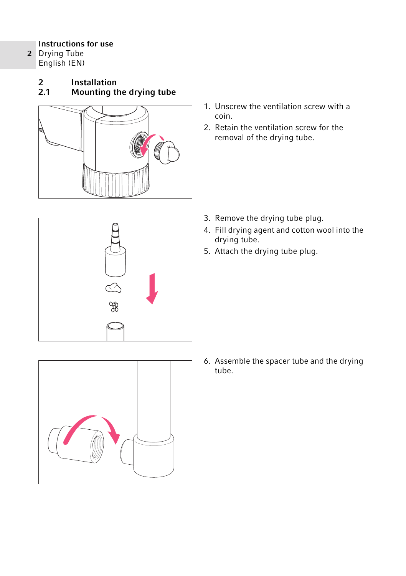### Instructions for use

- 2 Drying Tube English (EN)
	- 2 Installation<br>2.1 Mounting th
	- Mounting the drying tube



- 1. Unscrew the ventilation screw with a coin.
- 2. Retain the ventilation screw for the removal of the drying tube.



- 3. Remove the drying tube plug.
- 4. Fill drying agent and cotton wool into the drying tube.
- 5. Attach the drying tube plug.



6. Assemble the spacer tube and the drying tube.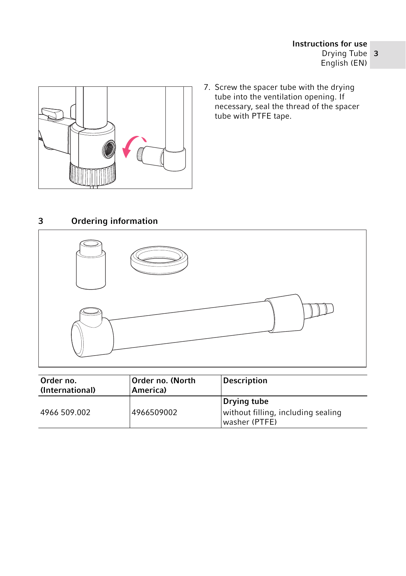

7. Screw the spacer tube with the drying tube into the ventilation opening. If necessary, seal the thread of the spacer tube with PTFE tape.

## 3 Ordering information



| Order no.<br>(International) | Order no. (North<br>America) | <b>Description</b>                                                 |
|------------------------------|------------------------------|--------------------------------------------------------------------|
| 4966 509.002                 | 4966509002                   | Drying tube<br>without filling, including sealing<br>washer (PTFE) |